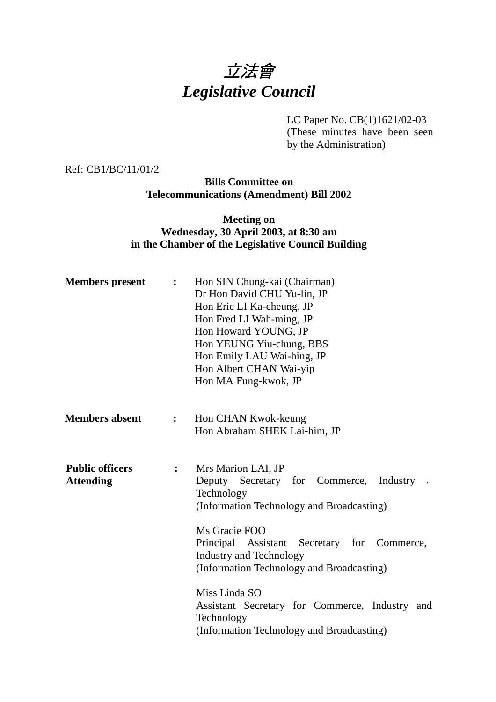# 立法會 *Legislative Council*

LC Paper No. CB(1)1621/02-03 (These minutes have been seen by the Administration)

Ref: CB1/BC/11/01/2

**Bills Committee on Telecommunications (Amendment) Bill 2002**

#### **Meeting on Wednesday, 30 April 2003, at 8:30 am in the Chamber of the Legislative Council Building**

| <b>Members</b> present                     | :                | Hon SIN Chung-kai (Chairman)<br>Dr Hon David CHU Yu-lin, JP<br>Hon Eric LI Ka-cheung, JP<br>Hon Fred LI Wah-ming, JP<br>Hon Howard YOUNG, JP<br>Hon YEUNG Yiu-chung, BBS<br>Hon Emily LAU Wai-hing, JP<br>Hon Albert CHAN Wai-yip<br>Hon MA Fung-kwok, JP                  |
|--------------------------------------------|------------------|----------------------------------------------------------------------------------------------------------------------------------------------------------------------------------------------------------------------------------------------------------------------------|
| <b>Members absent</b>                      | $\ddot{\bullet}$ | Hon CHAN Kwok-keung<br>Hon Abraham SHEK Lai-him, JP                                                                                                                                                                                                                        |
| <b>Public officers</b><br><b>Attending</b> | $\ddot{\cdot}$   | Mrs Marion LAI, JP<br>Deputy Secretary for Commerce,<br>Industry<br>Technology<br>(Information Technology and Broadcasting)<br>Ms Gracie FOO<br>Principal Assistant Secretary for Commerce,<br><b>Industry and Technology</b><br>(Information Technology and Broadcasting) |
|                                            |                  | Miss Linda SO<br>Assistant Secretary for Commerce, Industry and<br>Technology<br>(Information Technology and Broadcasting)                                                                                                                                                 |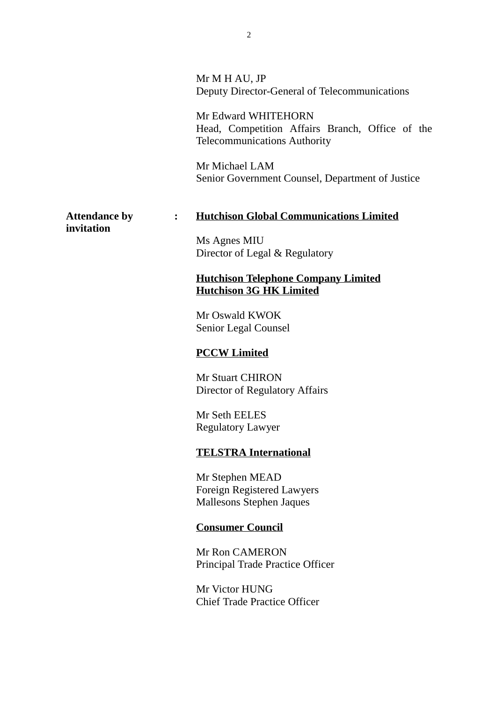|                                    |                | Mr M H AU, JP<br>Deputy Director-General of Telecommunications                                                |
|------------------------------------|----------------|---------------------------------------------------------------------------------------------------------------|
|                                    |                | Mr Edward WHITEHORN<br>Head, Competition Affairs Branch, Office of the<br><b>Telecommunications Authority</b> |
|                                    |                | Mr Michael LAM<br>Senior Government Counsel, Department of Justice                                            |
| <b>Attendance by</b><br>invitation | $\ddot{\cdot}$ | <b>Hutchison Global Communications Limited</b>                                                                |
|                                    |                | Ms Agnes MIU<br>Director of Legal & Regulatory                                                                |
|                                    |                | <b>Hutchison Telephone Company Limited</b><br><b>Hutchison 3G HK Limited</b>                                  |
|                                    |                | Mr Oswald KWOK<br>Senior Legal Counsel                                                                        |
|                                    |                | <b>PCCW Limited</b>                                                                                           |
|                                    |                | <b>Mr Stuart CHIRON</b><br>Director of Regulatory Affairs                                                     |
|                                    |                | Mr Seth EELES<br><b>Regulatory Lawyer</b>                                                                     |
|                                    |                | <b>TELSTRA International</b>                                                                                  |
|                                    |                | Mr Stephen MEAD<br><b>Foreign Registered Lawyers</b><br><b>Mallesons Stephen Jaques</b>                       |
|                                    |                | <b>Consumer Council</b>                                                                                       |
|                                    |                | Mr Ron CAMERON<br>Principal Trade Practice Officer                                                            |
|                                    |                | Mr Victor HUNG<br><b>Chief Trade Practice Officer</b>                                                         |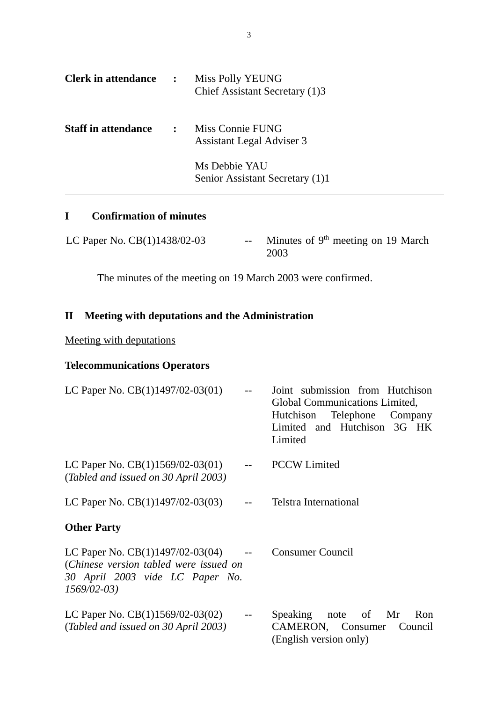| <b>Clerk in attendance :</b> |                | Miss Polly YEUNG<br>Chief Assistant Secretary (1)3   |
|------------------------------|----------------|------------------------------------------------------|
| <b>Staff in attendance</b>   | $\ddot{\cdot}$ | Miss Connie FUNG<br><b>Assistant Legal Adviser 3</b> |
|                              |                | Ms Debbie YAU<br>Senior Assistant Secretary (1)1     |

# **I Confirmation of minutes**

| LC Paper No. $CB(1)1438/02-03$ | -- Minutes of $9th$ meeting on 19 March |
|--------------------------------|-----------------------------------------|
|                                | 2003                                    |

The minutes of the meeting on 19 March 2003 were confirmed.

## **II Meeting with deputations and the Administration**

### Meeting with deputations

## **Telecommunications Operators**

| LC Paper No. CB(1)1497/02-03(01)                                                                                                |                         | Joint submission from Hutchison<br>Global Communications Limited,<br>Hutchison Telephone Company<br>Limited and Hutchison 3G HK |
|---------------------------------------------------------------------------------------------------------------------------------|-------------------------|---------------------------------------------------------------------------------------------------------------------------------|
|                                                                                                                                 |                         | Limited                                                                                                                         |
| LC Paper No. $CB(1)1569/02-03(01)$<br>(Tabled and issued on 30 April 2003)                                                      |                         | <b>PCCW</b> Limited                                                                                                             |
| LC Paper No. $CB(1)1497/02-03(03)$                                                                                              |                         | <b>Telstra International</b>                                                                                                    |
| <b>Other Party</b>                                                                                                              |                         |                                                                                                                                 |
| LC Paper No. $CB(1)1497/02-03(04)$<br>(Chinese version tabled were issued on<br>30 April 2003 vide LC Paper No.<br>$1569/02-03$ | $\sim$ $-$              | <b>Consumer Council</b>                                                                                                         |
| LC Paper No. $CB(1)1569/02-03(02)$<br>(Tabled and issued on 30 April 2003)                                                      | $\mathbb{L} \mathbb{L}$ | Speaking note of Mr<br>Ron<br>CAMERON, Consumer Council<br>(English version only)                                               |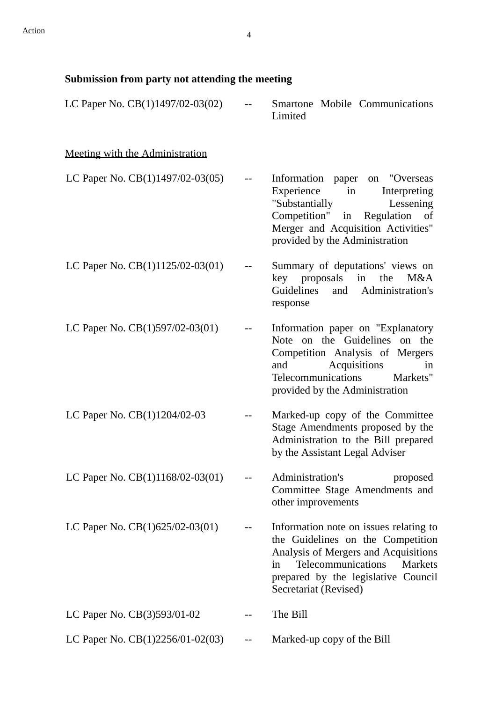| Submission from party not attending the meeting |  |  |  |
|-------------------------------------------------|--|--|--|
|                                                 |  |  |  |

| LC Paper No. $CB(1)1497/02-03(02)$     | Smartone Mobile Communications<br>Limited                                                                                                                                                                                  |
|----------------------------------------|----------------------------------------------------------------------------------------------------------------------------------------------------------------------------------------------------------------------------|
| <u>Meeting with the Administration</u> |                                                                                                                                                                                                                            |
| LC Paper No. $CB(1)1497/02-03(05)$     | on "Overseas<br>Information paper<br>Experience<br>$in$ $\Box$<br>Interpreting<br>"Substantially<br>Lessening<br>Competition"<br>in Regulation of<br>Merger and Acquisition Activities"<br>provided by the Administration  |
| LC Paper No. CB(1)1125/02-03(01)       | Summary of deputations' views on<br>proposals in<br>the<br>M&A<br>key<br>Guidelines and Administration's<br>response                                                                                                       |
| LC Paper No. CB(1)597/02-03(01)        | Information paper on "Explanatory"<br>Note on the Guidelines on the<br>Competition Analysis of Mergers<br>Acquisitions<br>and<br>in<br>Telecommunications<br>Markets"<br>provided by the Administration                    |
| LC Paper No. CB(1)1204/02-03           | Marked-up copy of the Committee<br>Stage Amendments proposed by the<br>Administration to the Bill prepared<br>by the Assistant Legal Adviser                                                                               |
| LC Paper No. $CB(1)1168/02-03(01)$     | Administration's<br>proposed<br>Committee Stage Amendments and<br>other improvements                                                                                                                                       |
| LC Paper No. CB(1)625/02-03(01)        | Information note on issues relating to<br>the Guidelines on the Competition<br>Analysis of Mergers and Acquisitions<br>Telecommunications<br>Markets<br>in<br>prepared by the legislative Council<br>Secretariat (Revised) |
| LC Paper No. CB(3)593/01-02            | The Bill                                                                                                                                                                                                                   |
| LC Paper No. CB(1)2256/01-02(03)       | Marked-up copy of the Bill                                                                                                                                                                                                 |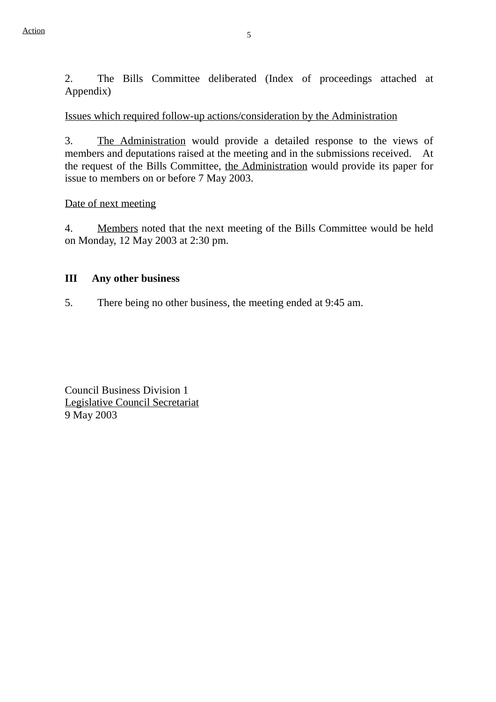2. The Bills Committee deliberated (Index of proceedings attached at Appendix)

Issues which required follow-up actions/consideration by the Administration

3. The Administration would provide a detailed response to the views of members and deputations raised at the meeting and in the submissions received. At the request of the Bills Committee, the Administration would provide its paper for issue to members on or before 7 May 2003.

Date of next meeting

4. Members noted that the next meeting of the Bills Committee would be held on Monday, 12 May 2003 at 2:30 pm.

#### **III Any other business**

5. There being no other business, the meeting ended at 9:45 am.

Council Business Division 1 Legislative Council Secretariat 9 May 2003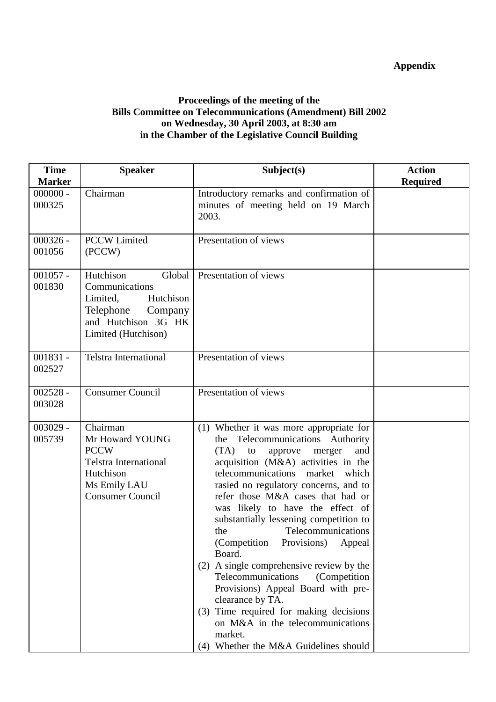## **Appendix**

#### **Proceedings of the meeting of the Bills Committee on Telecommunications (Amendment) Bill 2002 on Wednesday, 30 April 2003, at 8:30 am in the Chamber of the Legislative Council Building**

| <b>Time</b><br><b>Marker</b> | <b>Speaker</b>                                                                                                                       | Subject(s)                                                                                                                                                                                                                                                                                                                                                                                                                                                                                                                                                                                                                                                                                                                        | <b>Action</b><br><b>Required</b> |
|------------------------------|--------------------------------------------------------------------------------------------------------------------------------------|-----------------------------------------------------------------------------------------------------------------------------------------------------------------------------------------------------------------------------------------------------------------------------------------------------------------------------------------------------------------------------------------------------------------------------------------------------------------------------------------------------------------------------------------------------------------------------------------------------------------------------------------------------------------------------------------------------------------------------------|----------------------------------|
| $000000 -$<br>000325         | Chairman                                                                                                                             | Introductory remarks and confirmation of<br>minutes of meeting held on 19 March<br>2003.                                                                                                                                                                                                                                                                                                                                                                                                                                                                                                                                                                                                                                          |                                  |
| $000326 -$<br>001056         | <b>PCCW Limited</b><br>(PCCW)                                                                                                        | Presentation of views                                                                                                                                                                                                                                                                                                                                                                                                                                                                                                                                                                                                                                                                                                             |                                  |
| $001057 -$<br>001830         | Hutchison<br>Global<br>Communications<br>Limited,<br>Hutchison<br>Telephone<br>Company<br>and Hutchison 3G HK<br>Limited (Hutchison) | Presentation of views                                                                                                                                                                                                                                                                                                                                                                                                                                                                                                                                                                                                                                                                                                             |                                  |
| $001831 -$<br>002527         | <b>Telstra International</b>                                                                                                         | Presentation of views                                                                                                                                                                                                                                                                                                                                                                                                                                                                                                                                                                                                                                                                                                             |                                  |
| $002528 -$<br>003028         | <b>Consumer Council</b>                                                                                                              | Presentation of views                                                                                                                                                                                                                                                                                                                                                                                                                                                                                                                                                                                                                                                                                                             |                                  |
| $003029 -$<br>005739         | Chairman<br>Mr Howard YOUNG<br><b>PCCW</b><br><b>Telstra International</b><br>Hutchison<br>Ms Emily LAU<br><b>Consumer Council</b>   | (1) Whether it was more appropriate for<br>the Telecommunications Authority<br>(TA)<br>and<br>to<br>approve<br>merger<br>acquisition (M&A) activities in the<br>telecommunications<br>market<br>which<br>rasied no regulatory concerns, and to<br>refer those M&A cases that had or<br>was likely to have the effect of<br>substantially lessening competition to<br>Telecommunications<br>the<br>(Competition)<br>Provisions)<br>Appeal<br>Board.<br>(2) A single comprehensive review by the<br>Telecommunications<br>(Competition)<br>Provisions) Appeal Board with pre-<br>clearance by TA.<br>(3) Time required for making decisions<br>on M&A in the telecommunications<br>market.<br>(4) Whether the M&A Guidelines should |                                  |